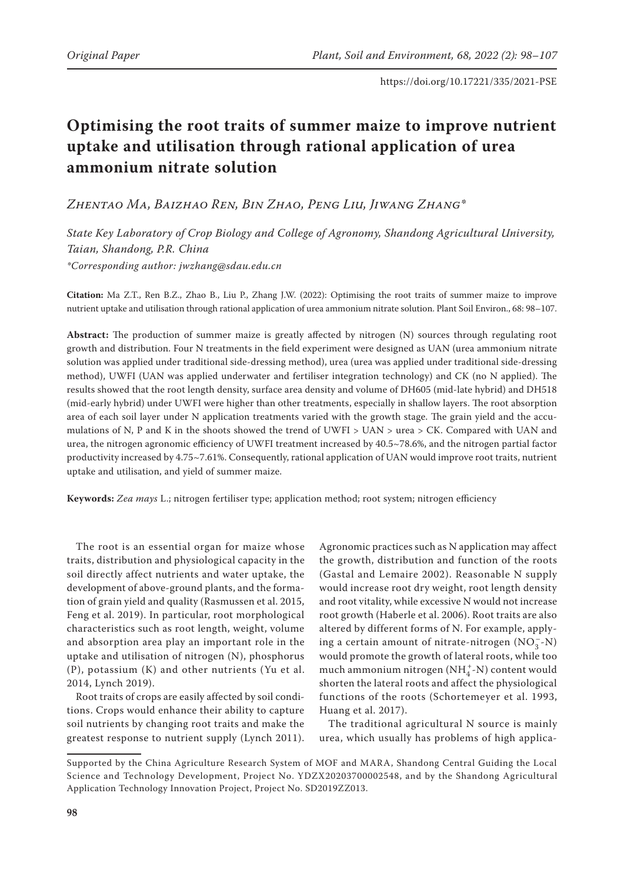# **Optimising the root traits of summer maize to improve nutrient uptake and utilisation through rational application of urea ammonium nitrate solution**

*Zhentao Ma, Baizhao Ren, Bin Zhao, Peng Liu, Jiwang Zhang\**

*State Key Laboratory of Crop Biology and College of Agronomy, Shandong Agricultural University, Taian, Shandong, P.R. China \*Corresponding author: jwzhang@sdau.edu.cn*

**Citation:** Ma Z.T., Ren B.Z., Zhao B., Liu P., Zhang J.W. (2022): Optimising the root traits of summer maize to improve nutrient uptake and utilisation through rational application of urea ammonium nitrate solution. Plant Soil Environ., 68: 98–107.

**Abstract:** The production of summer maize is greatly affected by nitrogen (N) sources through regulating root growth and distribution. Four N treatments in the field experiment were designed as UAN (urea ammonium nitrate solution was applied under traditional side-dressing method), urea (urea was applied under traditional side-dressing method), UWFI (UAN was applied underwater and fertiliser integration technology) and CK (no N applied). The results showed that the root length density, surface area density and volume of DH605 (mid-late hybrid) and DH518 (mid-early hybrid) under UWFI were higher than other treatments, especially in shallow layers. The root absorption area of each soil layer under N application treatments varied with the growth stage. The grain yield and the accumulations of N, P and K in the shoots showed the trend of UWFI > UAN > urea > CK. Compared with UAN and urea, the nitrogen agronomic efficiency of UWFI treatment increased by 40.5~78.6%, and the nitrogen partial factor productivity increased by 4.75~7.61%. Consequently, rational application of UAN would improve root traits, nutrient uptake and utilisation, and yield of summer maize.

**Keywords:** *Zea mays* L.; nitrogen fertiliser type; application method; root system; nitrogen efficiency

The root is an essential organ for maize whose traits, distribution and physiological capacity in the soil directly affect nutrients and water uptake, the development of above-ground plants, and the formation of grain yield and quality (Rasmussen et al. 2015, Feng et al. 2019). In particular, root morphological characteristics such as root length, weight, volume and absorption area play an important role in the uptake and utilisation of nitrogen (N), phosphorus (P), potassium (K) and other nutrients (Yu et al. 2014, Lynch 2019).

Root traits of crops are easily affected by soil conditions. Crops would enhance their ability to capture soil nutrients by changing root traits and make the greatest response to nutrient supply (Lynch 2011).

Agronomic practices such as N application may affect the growth, distribution and function of the roots (Gastal and Lemaire 2002). Reasonable N supply would increase root dry weight, root length density and root vitality, while excessive N would not increase root growth (Haberle et al. 2006). Root traits are also altered by different forms of N. For example, applying a certain amount of nitrate-nitrogen  $(NO<sub>3</sub><sup>-</sup>–N)$ would promote the growth of lateral roots, while too much ammonium nitrogen (NH $_4^+\text{-N})$  content would shorten the lateral roots and affect the physiological functions of the roots (Schortemeyer et al. 1993, Huang et al. 2017).

The traditional agricultural N source is mainly urea, which usually has problems of high applica-

Supported by the China Agriculture Research System of MOF and MARA, Shandong Central Guiding the Local Science and Technology Development, Project No. YDZX20203700002548, and by the Shandong Agricultural Application Technology Innovation Project, Project No. SD2019ZZ013.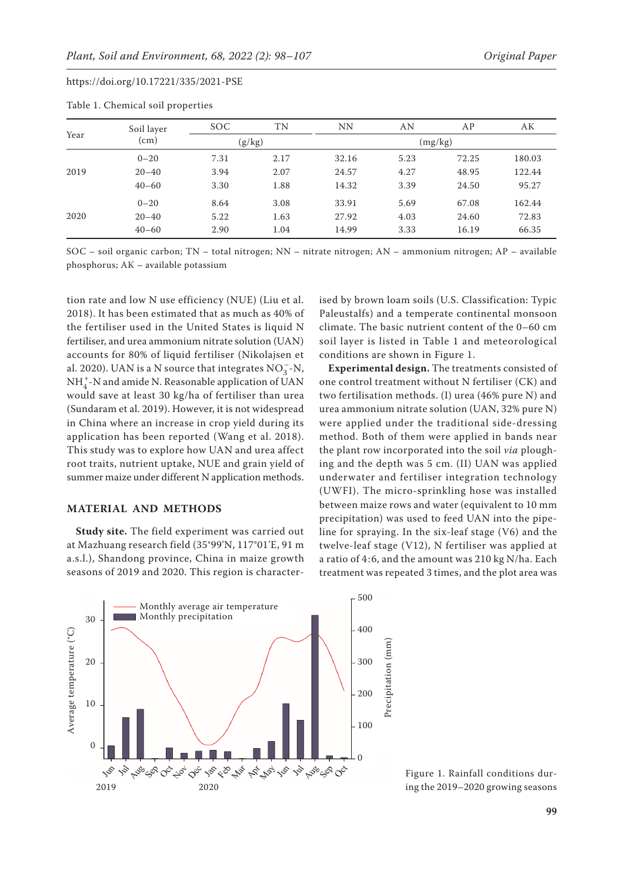| Year | Soil layer | SOC. | TN     | <b>NN</b> | AN   | AP    | AК     |  |
|------|------------|------|--------|-----------|------|-------|--------|--|
|      | (cm)       |      | (g/kg) | (mg/kg)   |      |       |        |  |
| 2019 | $0 - 20$   | 7.31 | 2.17   | 32.16     | 5.23 | 72.25 | 180.03 |  |
|      | $20 - 40$  | 3.94 | 2.07   | 24.57     | 4.27 | 48.95 | 122.44 |  |
|      | $40 - 60$  | 3.30 | 1.88   | 14.32     | 3.39 | 24.50 | 95.27  |  |
|      | $0 - 20$   | 8.64 | 3.08   | 33.91     | 5.69 | 67.08 | 162.44 |  |
| 2020 | $20 - 40$  | 5.22 | 1.63   | 27.92     | 4.03 | 24.60 | 72.83  |  |
|      | $40 - 60$  | 2.90 | 1.04   | 14.99     | 3.33 | 16.19 | 66.35  |  |
|      |            |      |        |           |      |       |        |  |

Table 1. Chemical soil properties

SOC – soil organic carbon; TN – total nitrogen; NN – nitrate nitrogen; AN – ammonium nitrogen; AP – available phosphorus; AK – available potassium

tion rate and low N use efficiency (NUE) (Liu et al. 2018). It has been estimated that as much as 40% of the fertiliser used in the United States is liquid N fertiliser, and urea ammonium nitrate solution (UAN) accounts for 80% of liquid fertiliser (Nikolajsen et al. 2020). UAN is a N source that integrates  $NO_3^-$ -N,  $\mathrm{NH}_4^+$ -N and amide N. Reasonable application of UAN would save at least 30 kg/ha of fertiliser than urea (Sundaram et al. 2019). However, it is not widespread in China where an increase in crop yield during its application has been reported (Wang et al. 2018). This study was to explore how UAN and urea affect root traits, nutrient uptake, NUE and grain yield of summer maize under different N application methods.

### **MATERIAL AND METHODS**

**Study site.** The field experiment was carried out at Mazhuang research field (35°99'N, 117°01'E, 91 m a.s.l.), Shandong province, China in maize growth seasons of 2019 and 2020. This region is character-

ised by brown loam soils (U.S. Classification: Typic Paleustalfs) and a temperate continental monsoon climate. The basic nutrient content of the 0–60 cm soil layer is listed in Table 1 and meteorological conditions are shown in Figure 1.

**Experimental design.** The treatments consisted of one control treatment without N fertiliser (CK) and two fertilisation methods. (I) urea (46% pure N) and urea ammonium nitrate solution (UAN, 32% pure N) were applied under the traditional side-dressing method. Both of them were applied in bands near the plant row incorporated into the soil *via* ploughing and the depth was 5 cm. (II) UAN was applied underwater and fertiliser integration technology (UWFI). The micro-sprinkling hose was installed between maize rows and water (equivalent to 10 mm precipitation) was used to feed UAN into the pipeline for spraying. In the six-leaf stage (V6) and the twelve-leaf stage (V12), N fertiliser was applied at a ratio of 4:6, and the amount was 210 kg N/ha. Each treatment was repeated 3 times, and the plot area was



Figure 1. Rainfall conditions during the 2019–2020 growing seasons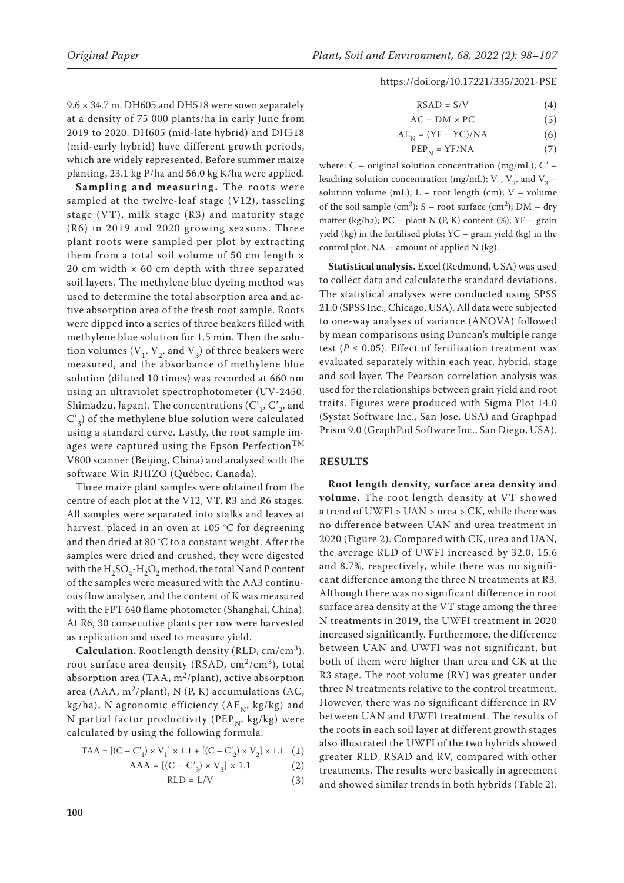$9.6 \times 34.7$  m. DH605 and DH518 were sown separately at a density of 75 000 plants/ha in early June from 2019 to 2020. DH605 (mid-late hybrid) and DH518 (mid-early hybrid) have different growth periods, which are widely represented. Before summer maize planting, 23.1 kg P/ha and 56.0 kg K/ha were applied.

**Sampling and measuring.** The roots were sampled at the twelve-leaf stage (V12), tasseling stage (VT), milk stage (R3) and maturity stage (R6) in 2019 and 2020 growing seasons. Three plant roots were sampled per plot by extracting them from a total soil volume of 50 cm length  $\times$ 20 cm width  $\times$  60 cm depth with three separated soil layers. The methylene blue dyeing method was used to determine the total absorption area and active absorption area of the fresh root sample. Roots were dipped into a series of three beakers filled with methylene blue solution for 1.5 min. Then the solution volumes ( $V_1$ ,  $V_2$ , and  $V_3$ ) of three beakers were measured, and the absorbance of methylene blue solution (diluted 10 times) was recorded at 660 nm using an ultraviolet spectrophotometer (UV-2450, Shimadzu, Japan). The concentrations  $(C'_1, C'_2,$  and  $C<sub>3</sub>$ ) of the methylene blue solution were calculated using a standard curve. Lastly, the root sample images were captured using the Epson Perfection<sup>TM</sup> V800 scanner (Beijing, China) and analysed with the software Win RHIZO (Québec, Canada).

Three maize plant samples were obtained from the centre of each plot at the V12, VT, R3 and R6 stages. All samples were separated into stalks and leaves at harvest, placed in an oven at 105 °C for degreening and then dried at 80 °C to a constant weight. After the samples were dried and crushed, they were digested with the  $H_2SO_4$ -H<sub>2</sub>O<sub>2</sub> method, the total N and P content of the samples were measured with the AA3 continuous flow analyser, and the content of K was measured with the FPT 640 flame photometer (Shanghai, China). At R6, 30 consecutive plants per row were harvested as replication and used to measure yield.

**Calculation.** Root length density (RLD, cm/cm3), root surface area density (RSAD,  $\text{cm}^2/\text{cm}^3$ ), total absorption area (TAA,  $m^2$ /plant), active absorption area (AAA, m<sup>2</sup>/plant), N (P, K) accumulations (AC, kg/ha), N agronomic efficiency ( $AE_{N}$ , kg/kg) and N partial factor productivity (PEP<sub>N</sub>, kg/kg) were calculated by using the following formula:

$$
\text{TAA} = \left[ \left( \text{C} - \text{C}'_1 \right) \times \text{V}_1 \right] \times 1.1 + \left[ \left( \text{C} - \text{C}'_2 \right) \times \text{V}_2 \right] \times 1.1 \quad (1)
$$

$$
AAA = [(C - C'3) \times V3] \times 1.1
$$
 (2)

$$
RLD = L/V
$$
 (3)

$$
RSAD = S/V \tag{4}
$$

$$
AC = DM \times PC
$$
 (5)

$$
AE_N = (YF - YC)/NA \tag{6}
$$

$$
PEP_N = YF/NA \tag{7}
$$

where: C – original solution concentration (mg/mL); C' – leaching solution concentration (mg/mL);  $V_1$ ,  $V_2$ , and  $V_3$  – solution volume (mL);  $L - root$  length (cm);  $V - volume$ of the soil sample (cm<sup>3</sup>); S – root surface (cm<sup>2</sup>); DM – dry matter (kg/ha);  $PC$  – plant N (P, K) content (%);  $YF$  – grain yield (kg) in the fertilised plots; YC – grain yield (kg) in the control plot; NA – amount of applied N (kg).

**Statistical analysis.** Excel (Redmond, USA) was used to collect data and calculate the standard deviations. The statistical analyses were conducted using SPSS 21.0 (SPSS Inc., Chicago, USA). All data were subjected to one-way analyses of variance (ANOVA) followed by mean comparisons using Duncan's multiple range test ( $P \le 0.05$ ). Effect of fertilisation treatment was evaluated separately within each year, hybrid, stage and soil layer. The Pearson correlation analysis was used for the relationships between grain yield and root traits. Figures were produced with Sigma Plot 14.0 (Systat Software Inc., San Jose, USA) and Graphpad Prism 9.0 (GraphPad Software Inc., San Diego, USA).

#### **RESULTS**

**Root length density, surface area density and volume.** The root length density at VT showed a trend of UWFI > UAN > urea > CK, while there was no difference between UAN and urea treatment in 2020 (Figure 2). Compared with CK, urea and UAN, the average RLD of UWFI increased by 32.0, 15.6 and 8.7%, respectively, while there was no significant difference among the three N treatments at R3. Although there was no significant difference in root surface area density at the VT stage among the three N treatments in 2019, the UWFI treatment in 2020 increased significantly. Furthermore, the difference between UAN and UWFI was not significant, but both of them were higher than urea and CK at the R3 stage. The root volume (RV) was greater under three N treatments relative to the control treatment. However, there was no significant difference in RV between UAN and UWFI treatment. The results of the roots in each soil layer at different growth stages also illustrated the UWFI of the two hybrids showed greater RLD, RSAD and RV, compared with other treatments. The results were basically in agreement and showed similar trends in both hybrids (Table 2).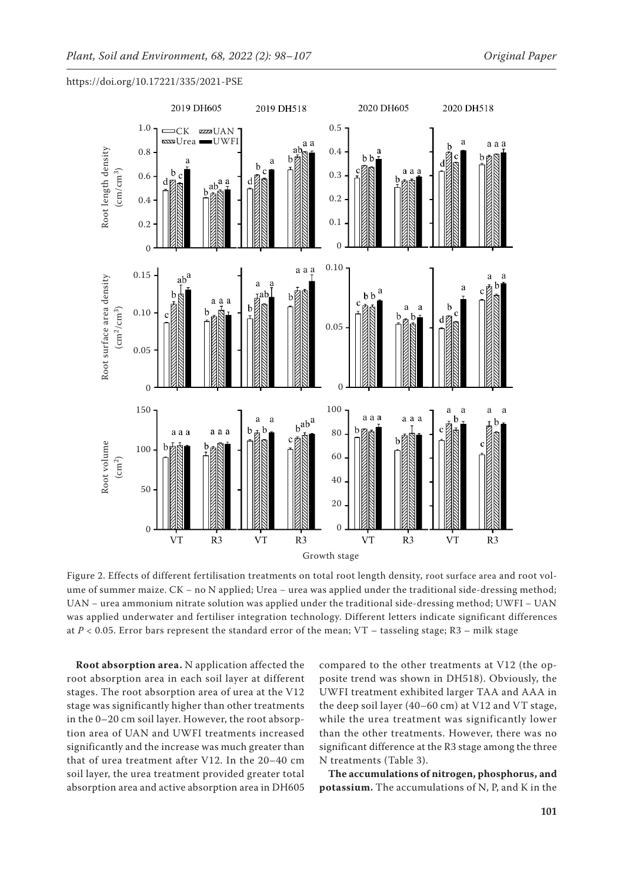

https://doi.org/10.17221/335/2021-PSE

Figure 2. Effects of different fertilisation treatments on total root length density, root surface area and root volume of summer maize. CK - no N applied; Urea - urea was applied under the traditional side-dressing method; UAN − urea ammonium nitrate solution was applied under the traditional side-dressing method; UWFI − UAN was applied underwater and fertiliser integration technology. Different letters indicate significant differences

**Root absorption area.** N application affected the root absorption area in each soil layer at different stages. The root absorption area of urea at the V12 stage was significantly higher than other treatments in the 0–20 cm soil layer. However, the root absorption area of UAN and UWFI treatments increased significantly and the increase was much greater than that of urea treatment after V12. In the 20–40 cm soil layer, the urea treatment provided greater total absorption area and active absorption area in DH605

compared to the other treatments at V12 (the opposite trend was shown in DH518). Obviously, the UWFI treatment exhibited larger TAA and AAA in the deep soil layer (40–60 cm) at V12 and VT stage, while the urea treatment was significantly lower than the other treatments. However, there was no significant difference at the R3 stage among the three N treatments (Table 3).

**The accumulations of nitrogen, phosphorus, and potassium.** The accumulations of N, P, and K in the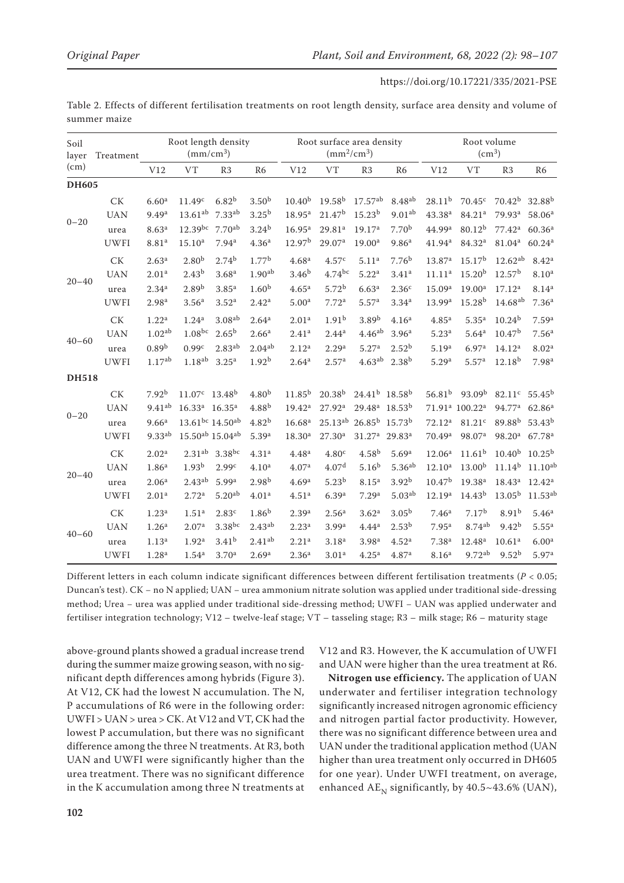| (cm)<br><b>DH605</b><br>$0 - 20$ | <b>CK</b>                                      | V12                                                                                | <b>VT</b>                                                                                                                         |                                                                          | Root length density<br>$\rm (mm/cm^3)$<br>Treatment                                |                                                                                  |                                                                                  |                                                                                        |                                                                                  | Root volume<br>(cm <sup>3</sup> )                                                |                                                                                                          |                                                                          |                                                                                  |  |
|----------------------------------|------------------------------------------------|------------------------------------------------------------------------------------|-----------------------------------------------------------------------------------------------------------------------------------|--------------------------------------------------------------------------|------------------------------------------------------------------------------------|----------------------------------------------------------------------------------|----------------------------------------------------------------------------------|----------------------------------------------------------------------------------------|----------------------------------------------------------------------------------|----------------------------------------------------------------------------------|----------------------------------------------------------------------------------------------------------|--------------------------------------------------------------------------|----------------------------------------------------------------------------------|--|
|                                  |                                                |                                                                                    |                                                                                                                                   | R3                                                                       | R <sub>6</sub>                                                                     | V12                                                                              | VT                                                                               | R <sub>3</sub>                                                                         | R <sub>6</sub>                                                                   | V12                                                                              | <b>VT</b>                                                                                                | R <sub>3</sub>                                                           | R <sub>6</sub>                                                                   |  |
|                                  |                                                |                                                                                    |                                                                                                                                   |                                                                          |                                                                                    |                                                                                  |                                                                                  |                                                                                        |                                                                                  |                                                                                  |                                                                                                          |                                                                          |                                                                                  |  |
|                                  | <b>UAN</b>                                     | 6.60 <sup>a</sup><br>9.49 <sup>a</sup>                                             | 11.49 <sup>c</sup><br>$13.61^{ab}$                                                                                                | $6.82^{b}$<br>7.33 <sup>ab</sup>                                         | 3.50 <sup>b</sup><br>3.25 <sup>b</sup>                                             | $10.40^{b}$<br>$18.95^{\rm a}$                                                   | $19.58^{b}$<br>21.47 <sup>b</sup>                                                | $17.57^{ab}$<br>$15.23^{b}$                                                            | 8.48 <sup>ab</sup><br>$9.01^{ab}$                                                | 28.11 <sup>b</sup><br>43.38 <sup>a</sup>                                         | $70.45^{\circ}$<br>84.21 <sup>a</sup>                                                                    | $70.42^{b}$<br>79.93 <sup>a</sup>                                        | 32.88 <sup>b</sup><br>58.06 <sup>a</sup>                                         |  |
|                                  | urea<br><b>UWFI</b>                            | 8.63 <sup>a</sup><br>8.81 <sup>a</sup>                                             | $12.39^{bc}$<br>$15.10^a$                                                                                                         | $7.70^{ab}$<br>7.94 <sup>a</sup>                                         | $3.24^{b}$<br>4.36 <sup>a</sup>                                                    | 16.95 <sup>a</sup><br>12.97 <sup>b</sup>                                         | 29.81 <sup>a</sup><br>29.07 <sup>a</sup>                                         | 19.17 <sup>a</sup><br>19.00 <sup>a</sup>                                               | 7.70 <sup>b</sup><br>9.86 <sup>a</sup>                                           | 44.99ª<br>41.94 <sup>a</sup>                                                     | $80.12^{b}$<br>84.32ª                                                                                    | 77.42 <sup>a</sup><br>81.04 <sup>a</sup>                                 | 60.36 <sup>a</sup><br>60.24a                                                     |  |
| $20 - 40$                        | <b>CK</b><br><b>UAN</b><br>urea                | 2.63 <sup>a</sup><br>2.01 <sup>a</sup><br>$2.34^{a}$                               | 2.80 <sup>b</sup><br>$2.43^{b}$<br>2.89 <sup>b</sup>                                                                              | $2.74^{b}$<br>3.68 <sup>a</sup><br>3.85 <sup>a</sup>                     | 1.77 <sup>b</sup><br>1.90 <sup>ab</sup><br>1.60 <sup>b</sup>                       | 4.68 <sup>a</sup><br>3.46 <sup>b</sup><br>4.65 <sup>a</sup>                      | 4.57 <sup>c</sup><br>$4.74^{bc}$<br>5.72 <sup>b</sup>                            | 5.11 <sup>a</sup><br>5.22 <sup>a</sup><br>6.63 <sup>a</sup>                            | 7.76 <sup>b</sup><br>3.41 <sup>a</sup><br>2.36 <sup>c</sup>                      | 13.87 <sup>a</sup><br>11.11 <sup>a</sup><br>15.09 <sup>a</sup>                   | 15.17 <sup>b</sup><br>15.20 <sup>b</sup><br>19.00 <sup>a</sup>                                           | $12.62^{ab}$<br>12.57 <sup>b</sup><br>17.12 <sup>a</sup>                 | 8.42 <sup>a</sup><br>8.10 <sup>a</sup><br>8.14 <sup>a</sup>                      |  |
|                                  | <b>UWFI</b>                                    | 2.98 <sup>a</sup>                                                                  | 3.56 <sup>a</sup>                                                                                                                 | 3.52 <sup>a</sup>                                                        | 2.42 <sup>a</sup>                                                                  | 5.00 <sup>a</sup>                                                                | 7.72 <sup>a</sup>                                                                | 5.57 <sup>a</sup>                                                                      | $3.34^{a}$                                                                       | 13.99 <sup>a</sup>                                                               | 15.28 <sup>b</sup>                                                                                       | 14.68 <sup>ab</sup>                                                      | 7.36 <sup>a</sup>                                                                |  |
| $40 - 60$                        | <b>CK</b><br><b>UAN</b><br>urea<br><b>UWFI</b> | 1.22 <sup>a</sup><br>1.02 <sup>ab</sup><br>0.89 <sup>b</sup><br>1.17 <sup>ab</sup> | 1.24 <sup>a</sup><br>$1.08^{bc}$<br>0.99c<br>$1.18^{ab}$                                                                          | 3.08 <sup>ab</sup><br>$2.65^{\rm b}$<br>$2.83^{ab}$<br>3.25 <sup>a</sup> | 2.64 <sup>a</sup><br>2.66 <sup>a</sup><br>2.04 <sup>ab</sup><br>1.92 <sup>b</sup>  | 2.01 <sup>a</sup><br>2.41 <sup>a</sup><br>2.12 <sup>a</sup><br>2.64 <sup>a</sup> | 1.91 <sup>b</sup><br>$2.44^{a}$<br>2.29 <sup>a</sup><br>2.57 <sup>a</sup>        | 3.89 <sup>b</sup><br>4.46 <sup>ab</sup><br>5.27 <sup>a</sup><br>4.63 <sup>ab</sup>     | 4.16 <sup>a</sup><br>3.96 <sup>a</sup><br>2.52 <sup>b</sup><br>$2.38^{b}$        | 4.85 <sup>a</sup><br>5.23 <sup>a</sup><br>5.19 <sup>a</sup><br>5.29 <sup>a</sup> | 5.35 <sup>a</sup><br>5.64 <sup>a</sup><br>6.97 <sup>a</sup><br>5.57 <sup>a</sup>                         | $10.24^{b}$<br>10.47 <sup>b</sup><br>14.12 <sup>a</sup><br>$12.18^{b}$   | 7.59 <sup>a</sup><br>7.56 <sup>a</sup><br>8.02 <sup>a</sup><br>7.98 <sup>a</sup> |  |
| <b>DH518</b>                     |                                                |                                                                                    |                                                                                                                                   |                                                                          |                                                                                    |                                                                                  |                                                                                  |                                                                                        |                                                                                  |                                                                                  |                                                                                                          |                                                                          |                                                                                  |  |
| $0 - 20$                         | <b>CK</b><br><b>UAN</b><br>urea<br><b>UWFI</b> | $7.92^{b}$<br>$9.41^{ab}$<br>9.66 <sup>a</sup><br>9.33ab                           | $11.07^{\circ}$ 13.48 <sup>b</sup><br>$16.33^a$ $16.35^a$<br>$13.61^{bc}$ 14.50 <sup>ab</sup><br>$15.50^{ab}$ 15.04 <sup>ab</sup> |                                                                          | 4.80 <sup>b</sup><br>$4.88^{b}$<br>4.82 <sup>b</sup><br>5.39 <sup>a</sup>          | $11.85^{b}$<br>$19.42^a$<br>16.68 <sup>a</sup><br>18.30 <sup>a</sup>             | $20.38^{b}$<br>27.92 <sup>a</sup><br>$25.13^{ab}$<br>27.30 <sup>a</sup>          | $24.41b$ 18.58 <sup>b</sup><br>29.48 <sup>a</sup><br>$26.85^{b}$<br>31.27 <sup>a</sup> | $18.53^{b}$<br>15.73 <sup>b</sup><br>29.83 <sup>a</sup>                          | $56.81^{b}$<br>72.12 <sup>a</sup><br>70.49a                                      | 93.09 <sup>b</sup><br>71.91 <sup>a</sup> 100.22 <sup>a</sup><br>81.21 <sup>c</sup><br>98.07 <sup>a</sup> | 82.11c<br>94.77 <sup>a</sup><br>89.88 <sup>b</sup><br>98.20 <sup>a</sup> | $55.45^{b}$<br>62.86 <sup>a</sup><br>$53.43^{b}$<br>67.78 <sup>a</sup>           |  |
| $20 - 40$                        | <b>CK</b><br><b>UAN</b><br>urea<br><b>UWFI</b> | 2.02 <sup>a</sup><br>1.86 <sup>a</sup><br>2.06 <sup>a</sup><br>2.01 <sup>a</sup>   | 2.31 <sup>ab</sup><br>1.93 <sup>b</sup><br>$2.43^{ab}$<br>2.72 <sup>a</sup>                                                       | $3.38$ bc<br>2.99c<br>5.99 <sup>a</sup><br>5.20 <sup>ab</sup>            | 4.31 <sup>a</sup><br>4.10 <sup>a</sup><br>2.98 <sup>b</sup><br>4.01 <sup>a</sup>   | 4.48 <sup>a</sup><br>4.07 <sup>a</sup><br>4.69 <sup>a</sup><br>4.51 <sup>a</sup> | 4.80 <sup>c</sup><br>4.07 <sup>d</sup><br>$5.23^{b}$<br>6.39a                    | $4.58^{b}$<br>5.16 <sup>b</sup><br>8.15 <sup>a</sup><br>7.29 <sup>a</sup>              | 5.69a<br>5.36 <sup>ab</sup><br>3.92 <sup>b</sup><br>5.03 <sup>ab</sup>           | 12.06 <sup>a</sup><br>12.10 <sup>a</sup><br>$10.47^{b}$<br>12.19a                | $11.61^{b}$<br>13.00 <sup>b</sup><br>19.38 <sup>a</sup><br>$14.43^{b}$                                   | $10.40^{b}$<br>$11.14^{b}$<br>18.43 <sup>a</sup><br>$13.05^{\rm b}$      | $10.25^{b}$<br>$11.10^{ab}$<br>12.42 <sup>a</sup><br>$11.53^{ab}$                |  |
| $40 - 60$                        | <b>CK</b><br><b>UAN</b><br>urea<br><b>UWFI</b> | 1.23 <sup>a</sup><br>1.26 <sup>a</sup><br>1.13 <sup>a</sup><br>1.28 <sup>a</sup>   | 1.51 <sup>a</sup><br>2.07 <sup>a</sup><br>1.92 <sup>a</sup><br>1.54 <sup>a</sup>                                                  | 2.83 <sup>c</sup><br>$3.38$ bc<br>3.41 <sup>b</sup><br>3.70 <sup>a</sup> | 1.86 <sup>b</sup><br>2.43 <sup>ab</sup><br>2.41 <sup>ab</sup><br>2.69 <sup>a</sup> | 2.39 <sup>a</sup><br>2.23 <sup>a</sup><br>2.21 <sup>a</sup><br>2.36 <sup>a</sup> | 2.56 <sup>a</sup><br>3.99 <sup>a</sup><br>3.18 <sup>a</sup><br>3.01 <sup>a</sup> | 3.62 <sup>a</sup><br>4.44 <sup>a</sup><br>3.98 <sup>a</sup><br>4.25 <sup>a</sup>       | 3.05 <sup>b</sup><br>2.53 <sup>b</sup><br>4.52 <sup>a</sup><br>4.87 <sup>a</sup> | 7.46 <sup>a</sup><br>7.95 <sup>a</sup><br>7.38 <sup>a</sup><br>8.16 <sup>a</sup> | 7.17 <sup>b</sup><br>8.74 <sup>ab</sup><br>12.48 <sup>a</sup><br>9.72 <sup>ab</sup>                      | $8.91^{b}$<br>$9.42^{b}$<br>10.61 <sup>a</sup><br>9.52 <sup>b</sup>      | 5.46 <sup>a</sup><br>$5.55^{\rm a}$<br>6.00 <sup>a</sup><br>5.97 <sup>a</sup>    |  |

Table 2. Effects of different fertilisation treatments on root length density, surface area density and volume of summer maize

Different letters in each column indicate significant differences between different fertilisation treatments (*P* < 0.05; Duncan's test). CK − no N applied; UAN − urea ammonium nitrate solution was applied under traditional side-dressing method; Urea − urea was applied under traditional side-dressing method; UWFI − UAN was applied underwater and fertiliser integration technology; V12 – twelve-leaf stage; VT – tasseling stage; R3 – milk stage; R6 – maturity stage

above-ground plants showed a gradual increase trend during the summer maize growing season, with no significant depth differences among hybrids (Figure 3). At V12, CK had the lowest N accumulation. The N, P accumulations of R6 were in the following order: UWFI > UAN > urea > CK. At V12 and VT, CK had the lowest P accumulation, but there was no significant difference among the three N treatments. At R3, both UAN and UWFI were significantly higher than the urea treatment. There was no significant difference in the K accumulation among three N treatments at V12 and R3. However, the K accumulation of UWFI and UAN were higher than the urea treatment at R6.

**Nitrogen use efficiency.** The application of UAN underwater and fertiliser integration technology significantly increased nitrogen agronomic efficiency and nitrogen partial factor productivity. However, there was no significant difference between urea and UAN under the traditional application method (UAN higher than urea treatment only occurred in DH605 for one year). Under UWFI treatment, on average, enhanced  $AE<sub>N</sub>$  significantly, by 40.5~43.6% (UAN),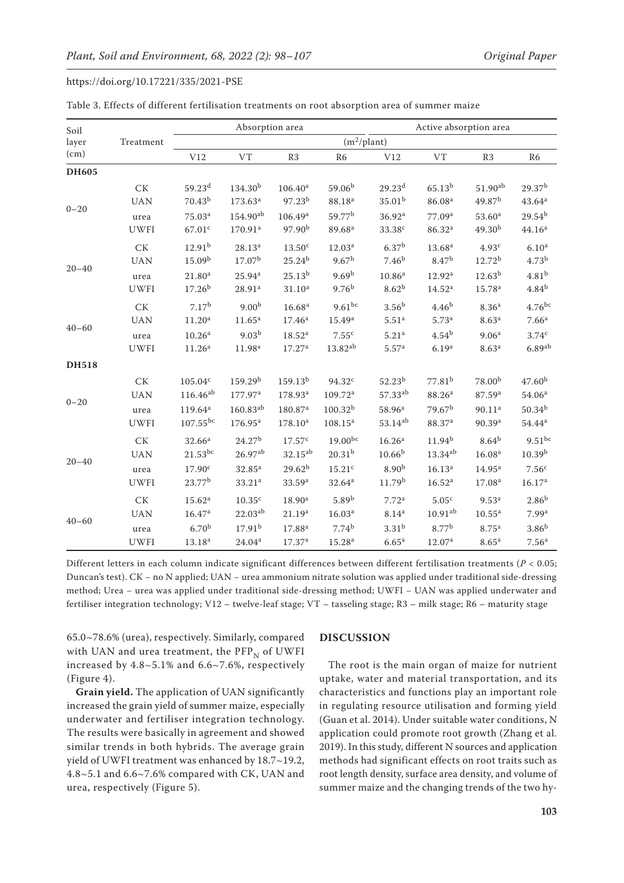|                                                                                                  |                  |                     | Absorption area     |                     | Active absorption area |                     |                    |                    |                                                                                                                                                                                                                                                                                                                                                                             |
|--------------------------------------------------------------------------------------------------|------------------|---------------------|---------------------|---------------------|------------------------|---------------------|--------------------|--------------------|-----------------------------------------------------------------------------------------------------------------------------------------------------------------------------------------------------------------------------------------------------------------------------------------------------------------------------------------------------------------------------|
| layer                                                                                            | Treatment        |                     |                     |                     | $(m^2$ /plant)         |                     |                    |                    |                                                                                                                                                                                                                                                                                                                                                                             |
| (cm)                                                                                             |                  | V12                 | <b>VT</b>           | R3                  | R <sub>6</sub>         | V12                 | <b>VT</b>          | R <sub>3</sub>     | R <sub>6</sub>                                                                                                                                                                                                                                                                                                                                                              |
| <b>DH605</b>                                                                                     |                  |                     |                     |                     |                        |                     |                    |                    |                                                                                                                                                                                                                                                                                                                                                                             |
|                                                                                                  | CK               | 59.23 <sup>d</sup>  | 134.30 <sup>b</sup> | 106.40 <sup>a</sup> | 59.06 <sup>b</sup>     | 29.23 <sup>d</sup>  | $65.13^{b}$        | $51.90^{ab}$       | 29.37 <sup>b</sup>                                                                                                                                                                                                                                                                                                                                                          |
|                                                                                                  | <b>UAN</b>       | $70.43^{b}$         | $173.63^a$          | 97.23 <sup>b</sup>  | 88.18 <sup>a</sup>     | $35.01^{b}$         | 86.08 <sup>a</sup> | 49.87 <sup>b</sup> |                                                                                                                                                                                                                                                                                                                                                                             |
| Soil<br>$0 - 20$<br>$20 - 40$<br>$40 - 60$<br><b>DH518</b><br>$0 - 20$<br>$20 - 40$<br>$40 - 60$ | urea             | 75.03 <sup>a</sup>  | 154.90ab            | 106.49 <sup>a</sup> | 59.77 <sup>b</sup>     | 36.92 <sup>a</sup>  | 77.09 <sup>a</sup> | 53.60 <sup>a</sup> |                                                                                                                                                                                                                                                                                                                                                                             |
|                                                                                                  | <b>UWFI</b>      | 67.01 <sup>c</sup>  | 170.91ª             | 97.90 <sup>b</sup>  | 89.68 <sup>a</sup>     | 33.38 <sup>c</sup>  | 86.32 <sup>a</sup> | 49.30 <sup>b</sup> | 44.16 <sup>a</sup>                                                                                                                                                                                                                                                                                                                                                          |
|                                                                                                  | <b>CK</b>        | 12.91 <sup>b</sup>  | $28.13^{a}$         | 13.50 <sup>c</sup>  | 12.03 <sup>a</sup>     | 6.37 <sup>b</sup>   | 13.68 <sup>a</sup> | 4.93 <sup>c</sup>  | 6.10 <sup>a</sup>                                                                                                                                                                                                                                                                                                                                                           |
|                                                                                                  | <b>UAN</b>       | 15.09 <sup>b</sup>  | 17.07 <sup>b</sup>  | 25.24 <sup>b</sup>  | 9.67 <sup>b</sup>      | 7.46 <sup>b</sup>   | 8.47 <sup>b</sup>  | 12.72 <sup>b</sup> | 4.73 <sup>b</sup>                                                                                                                                                                                                                                                                                                                                                           |
|                                                                                                  | urea             | 21.80 <sup>a</sup>  | $25.94^{a}$         | $25.13^{b}$         | 9.69 <sup>b</sup>      | 10.86 <sup>a</sup>  | 12.92 <sup>a</sup> | $12.63^{b}$        | 43.64 <sup>a</sup><br>$29.54^{b}$<br>$4.81^{b}$<br>$4.84^{b}$<br>$4.76$ bc<br>7.66 <sup>a</sup><br>3.74 <sup>c</sup><br>$6.89$ <sup>ab</sup><br>47.60 <sup>b</sup><br>54.06 <sup>a</sup><br>$50.34^{b}$<br>$54.44^{\rm a}$<br>$9.51^{bc}$<br>10.39 <sup>b</sup><br>7.56 <sup>c</sup><br>16.17a<br>$2.86^{b}$<br>7.99 <sup>a</sup><br>3.86 <sup>b</sup><br>7.56 <sup>a</sup> |
|                                                                                                  | <b>UWFI</b>      | 17.26 <sup>b</sup>  | 28.91a              | $31.10^a$           | 9.76 <sup>b</sup>      | 8.62 <sup>b</sup>   | 14.52 <sup>a</sup> | 15.78 <sup>a</sup> |                                                                                                                                                                                                                                                                                                                                                                             |
|                                                                                                  | <b>CK</b>        | 7.17 <sup>b</sup>   | 9.00 <sup>b</sup>   | 16.68 <sup>a</sup>  | $9.61^{bc}$            | 3.56 <sup>b</sup>   | 4.46 <sup>b</sup>  | 8.36 <sup>a</sup>  |                                                                                                                                                                                                                                                                                                                                                                             |
|                                                                                                  | <b>UAN</b>       | 11.20 <sup>a</sup>  | 11.65 <sup>a</sup>  | $17.46^{\rm a}$     | 15.49a                 | 5.51 <sup>a</sup>   | 5.73 <sup>a</sup>  | 8.63 <sup>a</sup>  |                                                                                                                                                                                                                                                                                                                                                                             |
|                                                                                                  | urea             | 10.26 <sup>a</sup>  | 9.03 <sup>b</sup>   | 18.52 <sup>a</sup>  | 7.55c                  | 5.21 <sup>a</sup>   | $4.54^{b}$         | 9.06 <sup>a</sup>  |                                                                                                                                                                                                                                                                                                                                                                             |
|                                                                                                  | <b>UWFI</b>      | 11.26 <sup>a</sup>  | 11.98 <sup>a</sup>  | 17.27 <sup>a</sup>  | $13.82^{ab}$           | 5.57 <sup>a</sup>   | 6.19 <sup>a</sup>  | 8.63 <sup>a</sup>  |                                                                                                                                                                                                                                                                                                                                                                             |
|                                                                                                  |                  |                     |                     |                     |                        |                     |                    |                    |                                                                                                                                                                                                                                                                                                                                                                             |
|                                                                                                  | CK               | $105.04^{\rm c}$    | 159.29 <sup>b</sup> | 159.13 <sup>b</sup> | 94.32c                 | $52.23^{b}$         | 77.81 <sup>b</sup> | 78.00 <sup>b</sup> |                                                                                                                                                                                                                                                                                                                                                                             |
|                                                                                                  | <b>UAN</b>       | $116.46^{ab}$       | 177.97ª             | 178.93 <sup>a</sup> | $109.72^{\text{a}}$    | 57.33 <sup>ab</sup> | 88.26 <sup>a</sup> | 87.59 <sup>a</sup> |                                                                                                                                                                                                                                                                                                                                                                             |
|                                                                                                  | urea             | 119.64 <sup>a</sup> | $160.83^{ab}$       | 180.87 <sup>a</sup> | $100.32^{b}$           | 58.96 <sup>a</sup>  | 79.67 <sup>b</sup> | 90.11 <sup>a</sup> |                                                                                                                                                                                                                                                                                                                                                                             |
|                                                                                                  | <b>UWFI</b>      | $107.55^{bc}$       | 176.95a             | 178.10 <sup>a</sup> | $108.15^{a}$           | 53.14ab             | 88.37ª             | 90.39a             |                                                                                                                                                                                                                                                                                                                                                                             |
|                                                                                                  | <b>CK</b>        | 32.66 <sup>a</sup>  | 24.27 <sup>b</sup>  | 17.57 <sup>c</sup>  | $19.00^{bc}$           | 16.26 <sup>a</sup>  | $11.94^{b}$        | $8.64^{b}$         |                                                                                                                                                                                                                                                                                                                                                                             |
|                                                                                                  | <b>UAN</b>       | $21.53^{bc}$        | $26.97^{ab}$        | $32.15^{ab}$        | $20.31^{b}$            | $10.66^{b}$         | $13.34^{ab}$       | 16.08 <sup>a</sup> |                                                                                                                                                                                                                                                                                                                                                                             |
|                                                                                                  | urea             | 17.90 <sup>c</sup>  | $32.85^{a}$         | $29.62^{b}$         | 15.21 <sup>c</sup>     | 8.90 <sup>b</sup>   | 16.13 <sup>a</sup> | $14.95^{\rm a}$    |                                                                                                                                                                                                                                                                                                                                                                             |
|                                                                                                  | <b>UWFI</b>      | 23.77 <sup>b</sup>  | 33.21 <sup>a</sup>  | 33.59 <sup>a</sup>  | 32.64 <sup>a</sup>     | 11.79 <sup>b</sup>  | 16.52 <sup>a</sup> | 17.08 <sup>a</sup> |                                                                                                                                                                                                                                                                                                                                                                             |
|                                                                                                  | ${\rm C}{\rm K}$ | 15.62 <sup>a</sup>  | 10.35 <sup>c</sup>  | 18.90 <sup>a</sup>  | 5.89 <sup>b</sup>      | 7.72 <sup>a</sup>   | 5.05 <sup>c</sup>  | 9.53 <sup>a</sup>  |                                                                                                                                                                                                                                                                                                                                                                             |
|                                                                                                  | <b>UAN</b>       | 16.47a              | 22.03ab             | 21.19 <sup>a</sup>  | 16.03 <sup>a</sup>     | 8.14 <sup>a</sup>   | $10.91^{ab}$       | $10.55^{\rm a}$    |                                                                                                                                                                                                                                                                                                                                                                             |
|                                                                                                  | urea             | 6.70 <sup>b</sup>   | 17.91 <sup>b</sup>  | 17.88 <sup>a</sup>  | 7.74 <sup>b</sup>      | 3.31 <sup>b</sup>   | 8.77 <sup>b</sup>  | 8.75 <sup>a</sup>  |                                                                                                                                                                                                                                                                                                                                                                             |
|                                                                                                  | <b>UWFI</b>      | 13.18 <sup>a</sup>  | 24.04 <sup>a</sup>  | 17.37 <sup>a</sup>  | 15.28 <sup>a</sup>     | 6.65 <sup>a</sup>   | 12.07 <sup>a</sup> | 8.65 <sup>a</sup>  |                                                                                                                                                                                                                                                                                                                                                                             |

|  |  |  | Table 3. Effects of different fertilisation treatments on root absorption area of summer maize |  |  |  |  |  |  |
|--|--|--|------------------------------------------------------------------------------------------------|--|--|--|--|--|--|
|--|--|--|------------------------------------------------------------------------------------------------|--|--|--|--|--|--|

Different letters in each column indicate significant differences between different fertilisation treatments (*P* < 0.05; Duncan's test). CK − no N applied; UAN − urea ammonium nitrate solution was applied under traditional side-dressing method; Urea − urea was applied under traditional side-dressing method; UWFI − UAN was applied underwater and fertiliser integration technology; V12 – twelve-leaf stage; VT – tasseling stage; R3 – milk stage; R6 – maturity stage

65.0~78.6% (urea), respectively. Similarly, compared with UAN and urea treatment, the  $\mathrm{PFP}_\text{N}$  of UWFI increased by 4.8~5.1% and 6.6~7.6%, respectively (Figure 4).

**Grain yield.** The application of UAN significantly increased the grain yield of summer maize, especially underwater and fertiliser integration technology. The results were basically in agreement and showed similar trends in both hybrids. The average grain yield of UWFI treatment was enhanced by 18.7~19.2, 4.8~5.1 and 6.6~7.6% compared with CK, UAN and urea, respectively (Figure 5).

#### **DISCUSSION**

The root is the main organ of maize for nutrient uptake, water and material transportation, and its characteristics and functions play an important role in regulating resource utilisation and forming yield (Guan et al. 2014). Under suitable water conditions, N application could promote root growth (Zhang et al. 2019). In this study, different N sources and application methods had significant effects on root traits such as root length density, surface area density, and volume of summer maize and the changing trends of the two hy-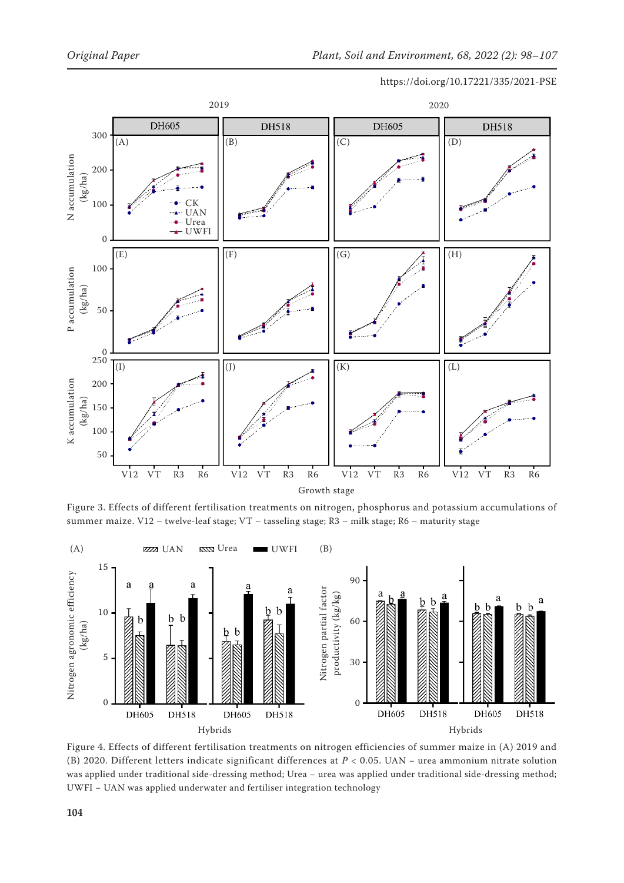

Figure 3. Effects of different fertilisation treatments on nitrogen, phosphorus and potassium accumulations of summer maize. V12 – twelve-leaf stage; VT – tasseling stage; R3 – milk stage; R6 – maturity stage



Figure 4. Effects of different fertilisation treatments on nitrogen efficiencies of summer maize in (A) 2019 and (B) 2020. Different letters indicate significant differences at *P* < 0.05. UAN − urea ammonium nitrate solution was applied under traditional side-dressing method; Urea - urea was applied under traditional side-dressing method;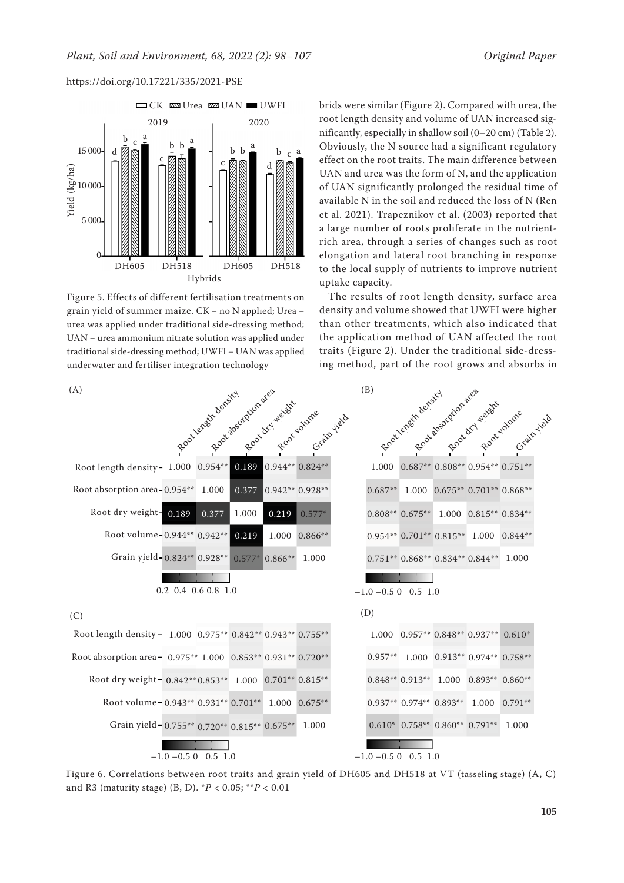



Figure 5. Effects of different fertilisation treatments on grain yield of summer maize. CK − no N applied; Urea − urea was applied under traditional side-dressing method; UAN − urea ammonium nitrate solution was applied under traditional side-dressing method; UWFI − UAN was applied underwater and fertiliser integration technology

brids were similar (Figure 2). Compared with urea, the root length density and volume of UAN increased significantly, especially in shallow soil (0–20 cm) (Table 2). Obviously, the N source had a significant regulatory effect on the root traits. The main difference between UAN and urea was the form of N, and the application of UAN significantly prolonged the residual time of available N in the soil and reduced the loss of N (Ren et al. 2021). Trapeznikov et al. (2003) reported that a large number of roots proliferate in the nutrientrich area, through a series of changes such as root elongation and lateral root branching in response to the local supply of nutrients to improve nutrient uptake capacity.

The results of root length density, surface area density and volume showed that UWFI were higher than other treatments, which also indicated that the application method of UAN affected the root traits (Figure 2). Under the traditional side-dressing method, part of the root grows and absorbs in

| (A)                                                          |                        |       |                  |                                                   | (B)                    |                                                                 |                               |                                               |  |
|--------------------------------------------------------------|------------------------|-------|------------------|---------------------------------------------------|------------------------|-----------------------------------------------------------------|-------------------------------|-----------------------------------------------|--|
|                                                              |                        |       |                  | Root length density dramates and year output yeld |                        |                                                                 |                               | Root length density downter weight crain yeld |  |
| Root length density - 1.000 0.954**                          |                        | 0.189 |                  | $0.944**0.824**$                                  |                        | $1.000 \quad 0.687** \quad 0.808** \quad 0.954** \quad 0.751**$ |                               |                                               |  |
| Root absorption area-0.954** 1.000                           |                        | 0.377 |                  | 0.942** 0.928**                                   | $0.687**$              |                                                                 | 1.000 0.675** 0.701** 0.868** |                                               |  |
| Root dry weight- 0.189                                       | 0.377                  | 1.000 | 0.219            | $0.577*$                                          |                        | $0.808**0.675**$ 1.000 $0.815**0.834**$                         |                               |                                               |  |
| Root volume-0.944** 0.942**                                  |                        | 0.219 |                  | 1.000 0.866**                                     |                        | $0.954**0.701**0.815**1.0000.844**$                             |                               |                                               |  |
| Grain yield-0.824** 0.928**                                  |                        |       | $0.577*$ 0.866** | 1.000                                             |                        | $0.751**$ $0.868**$ $0.834**$ $0.844**$ $1.000$                 |                               |                                               |  |
|                                                              | $0.2$ 0.4 0.6 0.8 1.0  |       |                  |                                                   | $-1.0 - 0.5 0 0.5 1.0$ |                                                                 |                               |                                               |  |
| (C)                                                          |                        |       |                  |                                                   | (D)                    |                                                                 |                               |                                               |  |
| Root length density - 1.000 0.975** 0.842** 0.943** 0.755**  |                        |       |                  |                                                   |                        | 1.000 0.957** 0.848** 0.937** 0.610*                            |                               |                                               |  |
| Root absorption area - 0.975** 1.000 0.853** 0.931** 0.720** |                        |       |                  |                                                   |                        | 0.957** 1.000 0.913** 0.974** 0.758**                           |                               |                                               |  |
| Root dry weight - 0.842** 0.853** 1.000 0.701** 0.815**      |                        |       |                  |                                                   |                        | 0.848** 0.913** 1.000 0.893** 0.860**                           |                               |                                               |  |
| Root volume - 0.943** 0.931** 0.701** 1.000                  |                        |       |                  | $0.675**$                                         |                        | $0.937**0.974**0.893**$                                         | 1.000                         | $0.791**$                                     |  |
| Grain yield-0.755** 0.720** 0.815** 0.675**                  |                        |       |                  | 1.000                                             |                        | $0.610* 0.758** 0.860** 0.791**$                                |                               | 1.000                                         |  |
|                                                              | $-1.0 - 0.5 0 0.5 1.0$ |       |                  |                                                   | $-1.0 - 0.5 0 0.5 1.0$ |                                                                 |                               |                                               |  |

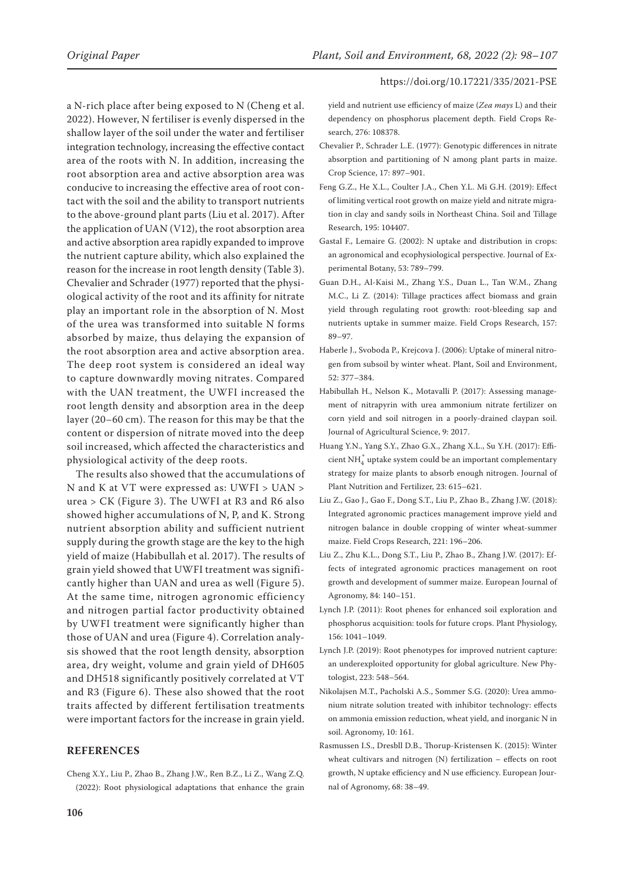a N-rich place after being exposed to N (Cheng et al. 2022). However, N fertiliser is evenly dispersed in the shallow layer of the soil under the water and fertiliser integration technology, increasing the effective contact area of the roots with N. In addition, increasing the root absorption area and active absorption area was conducive to increasing the effective area of root contact with the soil and the ability to transport nutrients to the above-ground plant parts (Liu et al. 2017). After the application of UAN (V12), the root absorption area and active absorption area rapidly expanded to improve the nutrient capture ability, which also explained the reason for the increase in root length density (Table 3). Chevalier and Schrader (1977) reported that the physiological activity of the root and its affinity for nitrate play an important role in the absorption of N. Most of the urea was transformed into suitable N forms absorbed by maize, thus delaying the expansion of the root absorption area and active absorption area. The deep root system is considered an ideal way to capture downwardly moving nitrates. Compared with the UAN treatment, the UWFI increased the root length density and absorption area in the deep layer (20–60 cm). The reason for this may be that the content or dispersion of nitrate moved into the deep soil increased, which affected the characteristics and physiological activity of the deep roots.

The results also showed that the accumulations of N and K at VT were expressed as: UWFI > UAN > urea > CK (Figure 3). The UWFI at R3 and R6 also showed higher accumulations of N, P, and K. Strong nutrient absorption ability and sufficient nutrient supply during the growth stage are the key to the high yield of maize (Habibullah et al. 2017). The results of grain yield showed that UWFI treatment was significantly higher than UAN and urea as well (Figure 5). At the same time, nitrogen agronomic efficiency and nitrogen partial factor productivity obtained by UWFI treatment were significantly higher than those of UAN and urea (Figure 4). Correlation analysis showed that the root length density, absorption area, dry weight, volume and grain yield of DH605 and DH518 significantly positively correlated at VT and R3 (Figure 6). These also showed that the root traits affected by different fertilisation treatments were important factors for the increase in grain yield.

## **REFERENCES**

Cheng X.Y., Liu P., Zhao B., Zhang J.W., Ren B.Z., Li Z., Wang Z.Q. (2022): Root physiological adaptations that enhance the grain

yield and nutrient use efficiency of maize (*Zea mays* L) and their dependency on phosphorus placement depth. Field Crops Research, 276: 108378.

- Chevalier P., Schrader L.E. (1977): Genotypic differences in nitrate absorption and partitioning of N among plant parts in maize. Crop Science, 17: 897–901.
- Feng G.Z., He X.L., Coulter J.A., Chen Y.L. Mi G.H. (2019): Effect of limiting vertical root growth on maize yield and nitrate migration in clay and sandy soils in Northeast China. Soil and Tillage Research, 195: 104407.
- Gastal F., Lemaire G. (2002): N uptake and distribution in crops: an agronomical and ecophysiological perspective. Journal of Experimental Botany, 53: 789–799.
- Guan D.H., Al-Kaisi M., Zhang Y.S., Duan L., Tan W.M., Zhang M.C., Li Z. (2014): Tillage practices affect biomass and grain yield through regulating root growth: root-bleeding sap and nutrients uptake in summer maize. Field Crops Research, 157: 89–97.
- Haberle J., Svoboda P., Krejcova J. (2006): Uptake of mineral nitrogen from subsoil by winter wheat. Plant, Soil and Environment, 52: 377–384.
- Habibullah H., Nelson K., Motavalli P. (2017): Assessing management of nitrapyrin with urea ammonium nitrate fertilizer on corn yield and soil nitrogen in a poorly-drained claypan soil. Journal of Agricultural Science, 9: 2017.
- Huang Y.N., Yang S.Y., Zhao G.X., Zhang X.L., Su Y.H. (2017): Efficient $\mathrm{NH}_4^+$ uptake system could be an important complementary strategy for maize plants to absorb enough nitrogen. Journal of Plant Nutrition and Fertilizer, 23: 615–621.
- Liu Z., Gao J., Gao F., Dong S.T., Liu P., Zhao B., Zhang J.W. (2018): Integrated agronomic practices management improve yield and nitrogen balance in double cropping of winter wheat-summer maize. Field Crops Research, 221: 196–206.
- Liu Z., Zhu K.L., Dong S.T., Liu P., Zhao B., Zhang J.W. (2017): Effects of integrated agronomic practices management on root growth and development of summer maize. European Journal of Agronomy, 84: 140–151.
- Lynch J.P. (2011): Root phenes for enhanced soil exploration and phosphorus acquisition: tools for future crops. Plant Physiology, 156: 1041–1049.
- Lynch J.P. (2019): Root phenotypes for improved nutrient capture: an underexploited opportunity for global agriculture. New Phytologist, 223: 548–564.
- Nikolajsen M.T., Pacholski A.S., Sommer S.G. (2020): Urea ammonium nitrate solution treated with inhibitor technology: effects on ammonia emission reduction, wheat yield, and inorganic N in soil. Agronomy, 10: 161.
- Rasmussen I.S., Dresbll D.B., Thorup-Kristensen K. (2015): Winter wheat cultivars and nitrogen (N) fertilization – effects on root growth, N uptake efficiency and N use efficiency. European Journal of Agronomy, 68: 38–49.